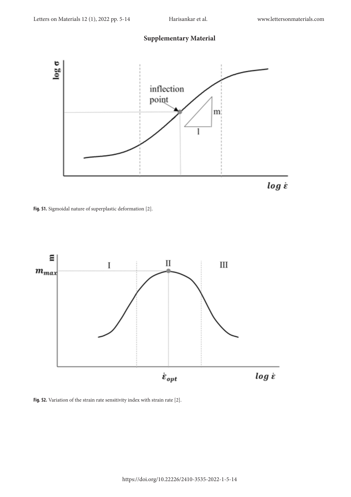# **Supplementary Material**





**Fig. S1.** Sigmoidal nature of superplastic deformation [2].



Fig. S2. Variation of the strain rate sensitivity index with strain rate [2].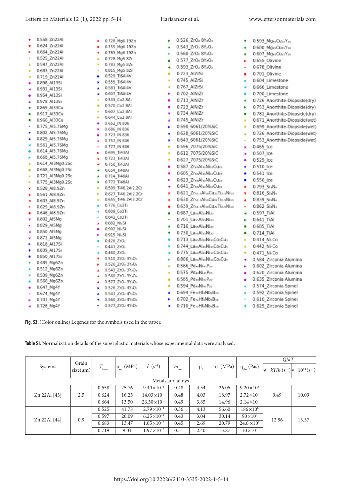|        | 0.558_Zn22AI                   |   | 0.728 Mg6.19Zn                                                            |   | 0.526 ZrO2 8Y2O3                                      | ۷ | 0.593 MgesCussYso             |
|--------|--------------------------------|---|---------------------------------------------------------------------------|---|-------------------------------------------------------|---|-------------------------------|
|        | 0.624 Zn22AI                   |   | 0.755 Mg6.19Zn                                                            | ۰ | 0.543 ZrO <sub>2</sub> 8Y <sub>2</sub> O <sub>3</sub> | ۰ | 0.600 MgesCu2sY10             |
| ٠      | 0.664 Zn22AI                   |   | 0.783_Mg6.19Zn                                                            | ۰ | 0.560 ZrO <sub>2</sub> 8Y <sub>2</sub> O <sub>3</sub> | × | 0.607 MgesCuzsY10             |
|        | 0.525 Zn22AI                   | ۸ | 0.728 Mg5.8Zn                                                             | ٠ | 0.577 ZrO <sub>2</sub> 8Y <sub>2</sub> O <sub>3</sub> |   | 0.655 Olivine                 |
| ٨      | 0.597_Zn22AI                   | ٠ | 0.783 Mg5.8Zn                                                             | ٠ | 0.593 ZrO <sub>2</sub> 8Y <sub>2</sub> O <sub>3</sub> |   | 0.678 Olivine                 |
| ٠      | 0.683_Zn22AI                   |   | 0.815 Mg5.8Zn                                                             | ٠ | 0.723 AlZrSi                                          |   | 0.701 Olivine                 |
| ٠      | 0.719 Zn22AI                   |   | 0.529 Ti6AI4V                                                             |   | 0.745 AlZrSi                                          |   | 0.604 Limestone               |
| ٠      | 0.898_AI13Si                   |   | 0.555_TI6AI4V<br>0.581 Ti6AI4V                                            | ٠ | 0.767 AlZrSi                                          |   | 0.666 Limestone               |
| ٠      | 0.931 AI13Si                   |   | 0.607 Ti6AI4V                                                             | ٠ | 0.702 AINiZr                                          |   | 0.700 Limestone               |
|        | 0.954 AI13Si                   |   | 0.533 Cu2.8AI                                                             |   | 0.713_AINiZr                                          | ۰ | 0.726 Anorthite-Diopside(dry) |
| ۸      | 0.978 AI13Si                   |   | 0.570 Cu2.8AI                                                             |   |                                                       |   |                               |
| ۷      | 0.869 AI33Cu                   |   | 0.607 Cu2.8AI                                                             |   | 0.723 AINiZr                                          | ٠ | 0.753 Anorthite-Diopside(dry) |
| ٠      | 0.917 AI33Cu                   |   | 0.644 Cu2.8AI                                                             |   | 0.734 AlNiZr                                          | ٠ | 0.781 Anorthite-Diopside(dry) |
| ٠      | 0.966 AI33Cu                   |   | 0.652_IN 836                                                              |   | 0.745 AINiZr                                          | × | 0.671 Anorthite-Diopside(wet) |
|        | 0.775 AI5.76Mg                 |   | 0.686 IN 836                                                              | ٠ | 0.590_6061/20%SiC                                     | ٠ | 0.699 Anorthite-Diopside(wet) |
| ٠      | 0.802 AI5.76Mg                 |   | 0.723 IN 836                                                              |   | 0.628 6061/20%SiC                                     | ۸ | 0.726 Anorthite-Diopside(wet) |
| ۸      | 0.829 AI5.76Mg                 |   | 0.757_IN 836                                                              | × | 0.643 6061/20%SiC                                     |   | 0.753 Anorthite-Diopside(wet) |
|        | 0.561 AI5.76Mg                 |   | 0.777_IN 836                                                              | ٠ | 0.596 7075/20%SiC                                     | × | 0.465 Ice                     |
|        | 0.614 AI5.76Mg                 |   | 0.695 TI43AI                                                              | × | 0.612 7075/20%SiC                                     |   | 0.507_lce                     |
|        | 0.668 AI5.76Mg                 |   | 0.723 Ti43AI                                                              | ۰ | 0.627 7075/20%SiC                                     |   | 0.529 Ice                     |
| ۸      | 0.614 Al3Mg0.2Sc               |   | 0.750 Ti43AI                                                              | ٠ | 0.587 ZresAlsoNissCuss                                |   | $0.510$ Ice                   |
| ٠      | 0.668 Al3Mg0.2Sc               | ۰ | 0.654 TI48AI                                                              | ٠ | 0.605 ZresAl10Ni10CU13                                |   | 0.541 Ice                     |
| ٠      | 0.721 Al3Mg0.2Sc               | ۸ | 0.714_Ti48Al                                                              | ٠ | 0.623_ZrosAl10Ni10CU15                                |   | 0.556 lce                     |
| ٠      | 0.775 AI3Mg0.2Sc               | × | 0.772_Ti48AI<br>0.599 Ti46.2AI2.2Cr                                       | ٠ | 0.641 ZrasAlsoNisoCuss                                |   | 0.793_SisN4                   |
| ×      | 0.528 AI8.9Zn                  |   | 0.627 Ti46.2AI2.2Cr                                                       | × | 0.621 Zrsz.sAlsoCuzzTiz.sNiss                         |   | 0.816 SisN4                   |
| ٠      | 0.561_AI8.9Zn                  | × | 0.655 Ti46.2AI2.2Cr                                                       | ۰ | 0.630_Zrsz.sAlsoCuzzTiz.sNiss                         | ۸ | 0.839 SisN4                   |
| ٠<br>٠ | 0.603_AI8.9Zn                  |   | 0.776 Co3Ti                                                               |   | 0.639 Zrsz.sAlsoCuzzTiz.sNiss                         | ۰ | 0.862 SisN4                   |
|        | 0.625 AI8.9Zn<br>0.646 AI8.9Zn |   | 0.809_Co3Ti                                                               | ٠ | 0.687 LassAlzsNizo                                    | ٠ | 0.597 TiAI                    |
| ۷      | 0.802_AI5Mg                    |   | 0.842_Co3Ti                                                               | ٠ | 0.701 LassAlzsNizo                                    |   |                               |
| ٠      | 0.829 AI5Mg                    |   | 0.882 NisSi                                                               |   |                                                       | ٠ | 0.641 TiAI                    |
| ٠      | 0.850 AI5Mg                    |   | 0.902 NisSi                                                               | ۸ | 0.716 LassAlzsNiza                                    |   | 0.685 TiAI                    |
| ×      | 0.871_Al5Mg                    |   | 0.915 NisSi                                                               | ۷ | 0.730 LassAlzsNizo                                    |   | 0.714 TiAI                    |
| ٠      | 0.818_AI17Si                   |   | $0.426$ ZrO <sub>z</sub>                                                  |   | 0.713 LannAlzoNisoCosCus                              | × | 0.414 Ni-Co                   |
| ٠      | 0.839 AI17Si                   |   | 0.443 ZrO <sub>2</sub>                                                    | × | 0.744 LassAlzsNissCosCus                              | ۸ | 0.442 Ni-Co                   |
|        | 0.850_AI17Si                   |   | 0.460_ZrO <sub>2</sub>                                                    |   | 0.775 LassAlzoNissCosCus                              | ۷ | 0.471 Ni-Co                   |
|        | 0.485 Mg6Zn                    |   | 0.510 ZrO2 3Y2O3                                                          | ٠ | 0.806 LassAlzsNissCosCus                              | ٠ | 0.584 Zirconia Alumina        |
|        | 0.512 Mg6Zn                    |   | 0.526 ZrOz 3YzOs                                                          | × | 0.566 Pd4oNi4aP20                                     |   | 0.602 Zirconia Alumina        |
| ×      | 0.539 Mg6Zn                    |   | 0.543 ZrO2 3Y2Os<br>0.560 ZrO <sub>2</sub> 3Y <sub>2</sub> O <sub>3</sub> | ۰ | 0.575 Pd4oNi4aP20                                     |   | 0.620 Zirconia Alumina        |
| ٠      | 0.566_Mg6Zn                    |   | 0.577_ZrOs 3YsOs                                                          | ٠ | 0.585_Pd4oNi4oP20                                     |   | 0.635 Zirconia Alumina        |
|        | 0.647_Mg4Y                     |   | 0.526 ZrO2 4Y2O3                                                          |   | 0.594 Pd4oNi4oP20                                     |   | 0.574 Zirconia Spinel         |
|        | 0.674 Mg4Y                     |   | 0.543 ZrO2 4Y2Os                                                          | ۸ | 0.694 FezzHfsNb2B1s                                   |   | 0.592 Zirconia Spinel         |
|        | 0.701 Mg4Y                     |   | 0.560 ZrO <sub>2</sub> 4Y <sub>2</sub> O <sub>3</sub>                     |   | 0.702 FersHfnNbsBan                                   |   | 0.610 Zirconia Spinel         |
|        | 0.728 Mg4Y                     | ۰ | 0.577 ZrOz 4YzOs                                                          | ۰ | 0.710 FersHfnNbsBas                                   |   | 0.629 Zirconia Spinel         |

**Fig. S3.** (Color online) Legends for the symbols used in the paper.

**Table S1.** Normalization details of the superplastic materials whose experimental data were analyzed.

| Systems           | Grain<br>$size(\mu m)$ | $T_{\rm hom}$ | $\sigma_{opt}(MPa)$ | $\dot{\varepsilon}$ $(s^{-1})$ | $m_{\rm max}$ | $p_{0}$ | $\sigma$ (MPa) | $\eta_{\text{abs}}$ (Pas) | $Q/kT_m$<br>$ v = kT/h (s^{-1}) v = 10^{13} (s^{-1}) $ |       |
|-------------------|------------------------|---------------|---------------------|--------------------------------|---------------|---------|----------------|---------------------------|--------------------------------------------------------|-------|
| Metals and alloys |                        |               |                     |                                |               |         |                |                           |                                                        |       |
|                   | 2.5                    | 0.558         | 25.76               | $9.40\times10^{-3}$            | 0.48          | 4.54    | 26.05          | $9.20 \times 10^8$        | 9.49                                                   | 10.09 |
| Zn 22Al [43]      |                        | 0.624         | 16.25               | $14.03 \times 10^{-3}$         | 0.48          | 4.03    | 18.97          | $2.72 \times 10^8$        |                                                        |       |
|                   |                        | 0.664         | 13.50               | $26.30 \times 10^{-3}$         | 0.49          | 3.85    | 14.96          | $2.14 \times 10^8$        |                                                        |       |
|                   |                        | 0.525         | 41.78               | $2.79 \times 10^{-4}$          | 0.36          | 4.13    | 56.60          | $186\times10^{8}$         |                                                        |       |
| Zn 22Al [44]      | 0.9                    | 0.597         | 20.09               | $6.25 \times 10^{-4}$          | 0.43          | 3.04    | 30.14          | $90\times10^8$            | 12.86                                                  | 13.57 |
|                   |                        | 0.683         | 13.47               | $1.05 \times 10^{-3}$          | 0.45          | 2.69    | 20.79          | $24.6 \times 10^8$        |                                                        |       |
|                   |                        | 0.719         | 9.01                | $1.97 \times 10^{-3}$          | 0.51          | 2.40    | 13.87          | $10\times10^8$            |                                                        |       |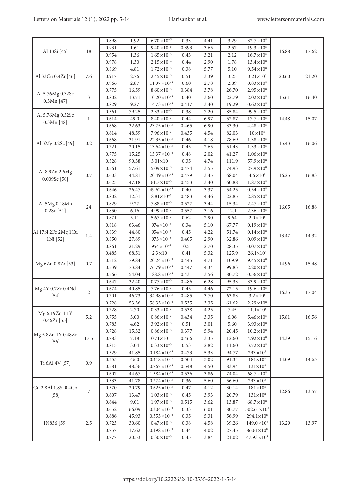|                      |                  | 0.898 | 1.92  | $6.70\times10^{-5}$    | 0.33        | 4.41 | 3.29      | $32.7 \times 10^{8}$  |       |       |
|----------------------|------------------|-------|-------|------------------------|-------------|------|-----------|-----------------------|-------|-------|
|                      | 18               | 0.931 | 1.61  | $9.40 \times 10^{-5}$  | 0.393       | 3.65 | 2.57      | $19.3 \times 10^{8}$  |       | 17.62 |
| Al 13Si [45]         |                  | 0.954 | 1.36  | $1.65 \times 10^{-4}$  | 0.43        | 3.21 | 2.12      | $16.7 \times 10^{8}$  | 16.88 |       |
|                      |                  | 0.978 | 1.30  | $2.15 \times 10^{-4}$  | 0.44        | 2.90 | 1.78      | $13.4 \times 10^{8}$  |       |       |
|                      |                  | 0.869 | 4.81  | $1.72 \times 10^{-3}$  | 0.38        | 5.77 | 5.10      | $9.54\times10^8$      |       |       |
| Al 33Cu 0.4Zr [46]   |                  | 0.917 | 2.76  | $2.45 \times 10^{-3}$  | 0.51        | 3.39 | 3.25      | $3.21\times10^{8}$    | 20.60 | 21.20 |
|                      | 7.6              | 0.966 | 2.87  | $11.97 \times 10^{-3}$ | 0.60        | 2.78 | 2.89      | $0.83\times10^8$      |       |       |
|                      |                  |       |       |                        |             |      | 26.70     |                       |       |       |
| Al 5.76Mg 0.32Sc     |                  | 0.775 | 16.59 | $8.60\times10^{-3}$    | 0.384       | 3.78 |           | $2.95\times10^8$      | 15.61 | 16.40 |
| 0.3Mn [47]           | 3                | 0.802 | 13.71 | $10.20 \times 10^{-3}$ | 0.40        | 3.60 | 22.79     | $2.02\times10^8$      |       |       |
|                      |                  | 0.829 | 9.27  | $14.73 \times 10^{-3}$ | 0.417       | 3.40 | 19.29     | $0.62\times10^8$      |       |       |
| Al 5.76Mg 0.32Sc     |                  | 0.561 | 79.25 | $2.33 \times 10^{-3}$  | 0.38        | 7.20 | 85.84     | $99.5 \times 10^{8}$  |       | 15.07 |
| 0.3Mn [48]           | $\mathbf{1}$     | 0.614 | 49.0  | $8.40\times10^{-3}$    | 0.44        | 6.97 | 52.87     | $17.7 \times 10^{8}$  | 14.48 |       |
|                      |                  | 0.668 | 32.63 | $23.75 \times 10^{-3}$ | 0.465       | 6.90 | 33.30     | $4.48\times10^8$      |       |       |
|                      |                  | 0.614 | 48.59 | $7.96 \times 10^{-3}$  | 0.435       | 4.54 | 82.03     | $10\times10^8$        |       |       |
| Al 3Mg 0.2Sc [49]    | 0.2              | 0.668 | 31.91 | $22.35 \times 10^{-3}$ | 0.46        | 4.18 | 78.69     | $1.38\times10^8$      | 15.43 | 16.06 |
|                      |                  | 0.721 | 20.15 | $13.64 \times 10^{-3}$ | 0.45        | 2.65 | 51.43     | $1.33 \times 10^{8}$  |       |       |
|                      |                  | 0.775 | 15.25 | $15.37 \times 10^{-3}$ | 0.48        | 2.02 | 41.27     | $1.06\times10^8$      |       |       |
|                      |                  | 0.528 | 90.38 | $3.01\times10^{-3}$    | 0.35        | 4.74 | 111.9     | $57.9\times10^8$      |       |       |
| Al 8.9Zn 2.6Mg       |                  | 0.561 | 57.61 | $5.09 \times 10^{-3}$  | 0.474       | 3.55 | 74.93     | $27.9 \times 10^8$    |       | 16.83 |
| 0.009Sc [50]         | $0.7\,$          | 0.603 | 44.81 | $20.49 \times 10^{-3}$ | 0.479       | 3.45 | 68.04     | $4.6\times10^8$       | 16.25 |       |
|                      |                  | 0.625 | 47.18 | $61.7 \times 10^{-3}$  | 0.453       | 3.40 | 60.88     | $1.87\!\times\!10^8$  |       |       |
|                      |                  | 0.646 | 26.47 | $49.62 \times 10^{-3}$ | 0.40        | 3.37 | 54.25     | $0.54\times10^8$      |       |       |
|                      |                  | 0.802 | 12.31 | $8.81\times10^{-3}$    | 0.483       | 4.46 | 22.85     | $2.85\times10^8$      | 16.05 | 16.88 |
| Al 5Mg 0.18Mn        | 24               | 0.829 | 9.27  | $7.88\times10^{-3}$    | 0.527       | 3.44 | 15.34     | $2.47 \times 10^{8}$  |       |       |
| 0.2Sc[51]            |                  | 0.850 | 6.16  | $4.99 \times 10^{-3}$  | 0.557       | 3.16 | 12.1      | $2.36 \times 10^8$    |       |       |
|                      |                  | 0.871 | 5.11  | $5.67 \times 10^{-3}$  | 0.62        | 2.90 | 9.64      | $2.0\times10^8$       |       |       |
|                      | 1.4              | 0.818 | 63.46 | $974 \times 10^{-3}$   | 0.34        | 5.10 | 67.77     | $0.19\times10^8$      |       |       |
| Al 17Si 2Fe 2Mg 1Cu  |                  | 0.839 | 44.80 | $954 \times 10^{-3}$   | 0.45        | 4.22 | 51.74     | $0.14\times10^8$      |       |       |
| 1Ni [52]             |                  | 0.850 | 27.89 | $973 \times 10^{-3}$   | 0.405       | 2.90 | 32.86     | $0.09\times10^{8}$    | 13.47 | 14.32 |
|                      |                  | 0.861 | 21.29 | $954 \times 10^{-3}$   | 0.5         | 2.70 | 28.35     | $0.07\times10^8$      |       |       |
|                      |                  | 0.485 | 68.51 | $2.3 \times 10^{-3}$   | 0.41        | 5.32 | 125.9     | $26.1\times10^{8}$    | 14.96 | 15.48 |
|                      |                  | 0.512 | 79.84 | $20.24 \times 10^{-3}$ | 0.445       | 4.71 | 109.9     | $9.45 \times 10^{8}$  |       |       |
| Mg 6Zn 0.8Zr [53]    | $0.7\,$          | 0.539 | 73.84 | $76.79 \times 10^{-3}$ | 0.447       | 4.34 | 99.83     | $2.20\times10^{8}$    |       |       |
|                      |                  | 0.566 | 54.04 | $188.8 \times 10^{-3}$ | 0.431       | 3.56 | 80.72     | $0.56 \times 10^{8}$  |       |       |
|                      |                  | 0.647 | 32.40 | $0.77 \times 10^{-3}$  | $\,0.486\,$ | 6.28 | 95.33     | $33.9\times10^8$      |       |       |
| Mg 4Y 0.7Zr 0.4Nd    |                  | 0.674 | 40.85 | $7.76 \times 10^{-3}$  | 0.45        | 4.46 | 72.15     | $19.6 \times 10^{8}$  | 16.35 | 17.04 |
| $[54]$               | $\sqrt{2}$       | 0.701 | 46.73 | $34.98 \times 10^{-3}$ | 0.485       | 3.70 | 63.83     | $3.2\times10^8$       |       |       |
|                      |                  | 0.728 | 53.36 | $58.35 \times 10^{-3}$ | 0.535       | 3.35 | 61.62     | $2.29 \times 10^{8}$  |       |       |
|                      |                  | 0.728 | 2.70  | $0.33 \times 10^{-3}$  | 0.538       | 4.25 | 7.45      |                       |       |       |
| Mg 6.19Zn 1.1Y       |                  |       |       |                        |             |      |           | $11.1 \times 10^{8}$  |       | 16.56 |
| $0.46Zr$ [55]        | 5.2              | 0.755 | 3.00  | $0.86 \times 10^{-3}$  | 0.434       | 3.35 | 6.06      | $5.46 \times 10^{8}$  | 15.81 |       |
|                      |                  | 0.783 | 4.62  | $3.92 \times 10^{-3}$  | $0.51\,$    | 3.01 | 5.60      | $3.93 \times 10^{8}$  |       |       |
| Mg 5.8Zn 1Y 0.48Zr   |                  | 0.728 | 15.32 | $0.86\times10^{-3}$    | 0.377       | 5.94 | 20.45     | $10.2\times10^8$      |       |       |
| $[56]$               | 17.5             | 0.783 | 7.18  | $0.71\times10^{-3}$    | 0.466       | 3.35 | 12.60     | $4.92\times10^8$      | 14.39 | 15.16 |
|                      |                  | 0.815 | 3.04  | $0.33 \times 10^{-3}$  | 0.53        | 2.82 | $11.60\,$ | $3.72 \times 10^{8}$  |       |       |
|                      |                  | 0.529 | 41.85 | $0.184\times10^{-3}$   | 0.473       | 5.33 | 94.77     | $293\times10^8$       |       |       |
| Ti 6Al 4V [57]       | 0.9              | 0.555 | 46.0  | $0.418 \times 10^{-3}$ | 0.504       | 5.02 | 91.34     | $181\times10^{8}$     | 14.09 | 14.65 |
|                      |                  | 0.581 | 48.36 | $0.767 \times 10^{-3}$ | 0.548       | 4.50 | 83.94     | $131\times10^{8}$     |       |       |
|                      |                  | 0.607 | 44.67 | $1.384 \times 10^{-3}$ | 0.536       | 3.86 | 74.04     | $68.7 \times 10^{8}$  |       |       |
|                      |                  | 0.533 | 41.78 | $0.274 \times 10^{-3}$ | 0.36        | 5.60 | 56.60     | $293\times10^8$       |       |       |
| Cu 2.8Al 1.8Si 0.4Co | $\boldsymbol{7}$ | 0.570 | 20.79 | $0.625 \times 10^{-3}$ | 0.47        | 4.12 | 30.14     | $181{\times}10^8$     | 12.86 | 13.57 |
| $[58]$               |                  | 0.607 | 13.47 | $1.03 \times 10^{-3}$  | 0.45        | 3.93 | 20.79     | $131\times10^{8}$     |       |       |
|                      |                  | 0.644 | 9.01  | $1.97 \times 10^{-3}$  | 0.515       | 3.62 | 13.87     | $68.7 \times 10^{8}$  |       |       |
|                      |                  | 0.652 | 66.09 | $0.304 \times 10^{-3}$ | 0.33        | 6.01 | 80.77     | $502.61\times10^{8}$  |       |       |
|                      |                  | 0.686 | 45.93 | $0.353 \times 10^{-3}$ | 0.35        | 5.31 | 56.99     | 294.1×10 <sup>8</sup> |       |       |
| IN836 [59]           | 2.5              | 0.723 | 30.60 | $0.47 \times 10^{-3}$  | 0.38        | 4.58 | 39.26     | $149.0 \times 10^8$   | 13.29 | 13.97 |
|                      |                  | 0.757 | 17.62 | $0.198 \times 10^{-3}$ | $0.44\,$    | 4.02 | 27.45     | $86.61\times10^{8}$   |       |       |
|                      |                  | 0.777 | 20.53 | $0.30\times10^{-3}$    | 0.45        | 3.84 | 21.02     | $47.93 \times 10^8$   |       |       |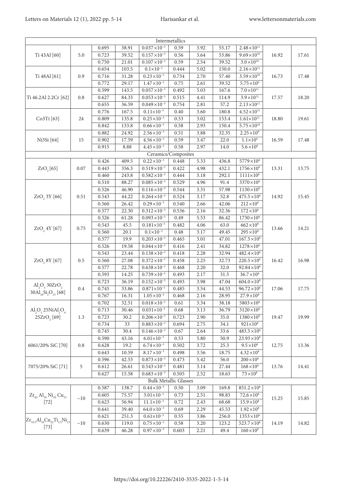|                                                                   |               |       |          |                              | Intermetallics |          |                    |                                |       |       |
|-------------------------------------------------------------------|---------------|-------|----------|------------------------------|----------------|----------|--------------------|--------------------------------|-------|-------|
|                                                                   | 5.0           | 0.695 | 38.91    | $0.037\times10^{-3}$         | 0.59           | 3.92     | 55.17              | $2.48\times10^{11}$            |       |       |
| Ti 43Al [60]                                                      |               | 0.723 | 39.52    | $0.157 \times 10^{-3}$       | 0.56           | 3.64     | 53.86              | $9.69 \times 10^{10}$          | 16.92 | 17.61 |
|                                                                   |               | 0.750 | 21.01    | $0.107\times10^{-3}$         | 0.59           | 2.54     | 39.52              | $3.0 \times 10^{10}$           |       |       |
|                                                                   |               | 0.654 | 103.5    | $0.1 \times 10^{-3}$         | 0.444          | 5.02     | 150.0              | $2.16 \times 10^{11}$          |       | 17.48 |
| Ti 48Al [61]                                                      | 0.9           | 0.716 | 31.28    | $0.23 \times 10^{-3}$        | 0.734          | 2.70     | 57.40              | $3.59 \times 10^{10}$          | 16.73 |       |
|                                                                   |               | 0.772 | 29.17    | $1.47 \times 10^{-3}$        | 0.75           | 2.61     | 39.52              | $5.75 \times 10^{9}$           |       |       |
|                                                                   |               | 0.599 | 143.5    | $0.057 \times 10^{-3}$       | 0.492          | 5.03     | 167.6              | $7.0\times10^{11}$             |       | 18.20 |
| Ti 46.2Al 2.2Cr [62]                                              | 0.8           | 0.627 | 84.33    | $0.053 \times 10^{-3}$       | 0.515          | 4.41     | 114.9              | $3.9 \times 10^{11}$           | 17.57 |       |
|                                                                   |               | 0.655 | 36.59    | $0.049 \times 10^{-3}$       | 0.754          | 2.81     | 57.2               | $2.13 \times 10^{11}$          |       |       |
|                                                                   |               | 0.776 | 167.5    | $0.11\times10^{-3}$          | $0.40\,$       | 3.60     | 180.8              | $4.52\times10^{11}$            |       |       |
| Co3Ti [63]                                                        | 24            | 0.809 | 135.8    | $0.25 \times 10^{-3}$        | 0.53           | 3.02     | 153.4              | $1.61{\times}10^{11}$          | 18.80 | 19.61 |
|                                                                   |               | 0.842 | 133.8    | $0.66 \times 10^{-3}$        | 0.58           | 2.93     | 150.4              | $5.75 \times 10^{10}$          |       |       |
|                                                                   |               | 0.882 | 24.92    | $2.56 \times 10^{-3}$        | 0.51           | 3.88     | 32.35              | $2.25 \times 10^{9}$           |       |       |
| Ni3Si [64]                                                        | 15            | 0.902 | 17.59    | $4.56 \times 10^{-3}$        | 0.59           | 3.47     | 22.0               | $1.1\times10^{9}$              | 16.59 | 17.48 |
|                                                                   |               | 0.915 | $8.88\,$ | $4.45 \times 10^{-3}$        | 0.58           | 2.97     | 14.0               | $5.6\times10^{8}$              |       |       |
|                                                                   |               |       |          | Ceramics/Composites          |                |          |                    |                                |       |       |
|                                                                   |               | 0.426 | 409.5    | $0.22 \times 10^{-3}$        | $\!.448\!$     | 5.33     | 436.8              | $5779 \times 10^{8}$           |       |       |
| $ZrO_{2}[65]$                                                     | 0.07          | 0.443 | 356.3    | $0.519 \times 10^{-3}$       | 0.422          | 4.98     | 432.1              | $1756 \times 10^{8}$           | 13.31 | 13.75 |
|                                                                   |               | 0.460 | 243.8    | $0.582\times10^{-3}$         | 0.444          | $3.18\,$ | 292.1              | $1111\times108$                |       |       |
|                                                                   |               | 0.510 | 88.27    | $0.085 \times 10^{-3}$       | 0.529          | 4.96     | 91.4               | $3370\times10^8$               |       |       |
|                                                                   |               | 0.526 | 46.90    | $0.116 \times 10^{-3}$       | 0.544          | 3.31     | 57.98              | $1130\times10^8$               | 14.92 | 15.45 |
| ZrO <sub>2</sub> 3Y [66]                                          | 0.51          | 0.543 | 44.22    | $0.264 \times 10^{-3}$       | 0.524          | 3.17     | 52.8               | $\overline{47}5.5 \times 10^8$ |       |       |
|                                                                   |               | 0.560 | 26.42    | $0.29 \times 10^{-3}$        | 0.540          | 2.66     | 42.06              | $212\times10^8$                |       |       |
|                                                                   |               | 0.577 | 22.30    | $0.312\times10^{-3}$         | 0.536          | 2.16     | 32.36              | $172\times10^{8}$              |       |       |
|                                                                   | 0.75          | 0.526 | 61.28    | $0.093 \times 10^{-3}$       | 0.49           | 5.53     | 86.42              | $1730\times10^8$               | 13.66 |       |
|                                                                   |               | 0.543 | 45.5     | $0.181{\times}10^{-3}$       | 0.482          | 4.06     | 63.0               | $662\times10^{8}$              |       |       |
| ZrO, 4Y [67]                                                      |               | 0.560 | 20.1     | $0.1 \times 10^{-3}$         | $0.48\,$       | 3.17     | 49.45              | $295\times10^8$                |       | 14.21 |
|                                                                   |               | 0.577 | 19.9     | $0.203 \times 10^{-3}$       | 0.465          | $3.01\,$ | 47.01              | $167.5\times10^8$              |       |       |
|                                                                   | 0.5           | 0.526 | 19.58    | $0.044 \times 10^{-3}$       | $0.416\,$      | 2.41     | 34.82              | $1278\times10^{8}$             | 16.42 | 16.98 |
|                                                                   |               | 0.543 | 23.44    | $0.138 \times 10^{-3}$       | 0.418          | 2.28     | 32.94              | $482.4 \times 10^8$            |       |       |
| ZrO <sub>2</sub> 8Y [67]                                          |               | 0.560 | 27.08    | $0.372 \times 10^{-3}$       | 0.458          | 2.25     | 32.73              | $220.5\!\times\!10^8$          |       |       |
|                                                                   |               | 0.577 | 22.78    | $0.638 \times 10^{-3}$       | 0.468          | 2.20     | 32.0               | $92.84 \times 10^8$            |       |       |
|                                                                   |               | 0.593 | 14.25    | $0.739 \times 10^{-3}$       | 0.493          | 2.17     | 31.5               | $36.7 \times 10^{8}$           |       |       |
|                                                                   |               | 0.723 | 36.19    | $0.152 \times 10^{-3}$       | 0.493          | 3.98     | 47.04              | $604.0 \times 10^8$            |       | 17.75 |
| $\mathrm{Al}_2\mathrm{O}_3$ 30ZrO <sub>2</sub>                    | 0.4           | 0.745 | 33.86    | $0.871\times10^{-3}$         | 0.485          | 3.54     | 44.53              | $96.72 \times 10^8$            | 17.06 |       |
| $30Al_{16}Si_{2}O_{13}$ [68]                                      |               | 0.767 | 16.31    | $1.05 \times 10^{-3}$        | 0.468          | 2.16     | 28.95              | $27.9 \times 10^8$             |       |       |
|                                                                   |               | 0.702 | 32.51    | $0.018 \times 10^{-3}$       | 0.61           | 3.34     | 38.18              | $5803 \times 10^{8}$           |       |       |
| $\mathrm{Al}_2\mathrm{O}_3$ 25Ni $\mathrm{Al}_2\mathrm{O}_4$      |               | 0.713 | 30.46    | $0.031\times10^{-3}$         | 0.68           | 3.13     | 36.79              | $3120\times10^{8}$             |       |       |
| 25ZrO <sub>2</sub> [69]                                           | 1.3           | 0.723 | 30.2     | $0.206 \times 10^{-3}$       | 0.723          | 2.90     | 35.0               | $1380\times10^8$               |       | 19.99 |
|                                                                   |               | 0.734 | 33       | $0.883 \times 10^{-3}$       | 0.694          | 2.75     | 34.1               | 921×10 <sup>8</sup>            | 19.47 |       |
|                                                                   |               | 0.745 | 30.4     | $0.146 \times 10^{-3}$       | 0.67           | 2.64     | 33.6               | $483.5 \times 10^8$            |       |       |
|                                                                   |               | 0.590 | 43.16    | $6.01\times10^{-3}$          | 0.53           | 5.80     | 50.9               | $23.93 \times 10^8$            |       |       |
| 6061/20% SiC [70]                                                 | 0.8           | 0.628 | 19.2     | $6.74 \times 10^{-3}$        | 0.502          | 3.72     | 25.3               | $9.5\times10^8$                | 12.75 | 13.36 |
|                                                                   |               | 0.643 | 10.59    | $8.17 \times 10^{-3}$        | 0.498          | 3.56     | 18.75              | $4.32 \times 10^8$             |       |       |
|                                                                   |               | 0.596 | 42.53    | $0.873 \times 10^{-3}$       | 0.473          | 5.42     | 56.0               | $200\times10^{8}$              |       |       |
| 7075/20% SiC [71]                                                 | $\mathfrak s$ | 0.612 | 26.61    | $0.543 \times 10^{-3}$       | 0.481          | 3.14     | 27.44              | $168\times10^{8}$              | 13.76 | 14.41 |
|                                                                   |               | 0.627 | 15.58    | $0.683 \times 10^{-3}$       | 0.505          | 2.52     | 18.63              | $73\times10^8$                 |       |       |
|                                                                   |               |       |          | <b>Bulk Metallic Glasses</b> |                |          |                    |                                |       |       |
|                                                                   |               | 0.587 | 138.7    | $0.44 \times 10^{-3}$        | $0.50\,$       | 3.09     | 169.8              | $851.2 \times 10^8$            |       |       |
|                                                                   |               | 0.605 | 75.57    | $3.01\times10^{-3}$          | 0.73           | 2.51     | 98.83              | $72.6 \times 10^8$             |       |       |
| $\rm Zr_{65}$ $\rm Al_{10}$ $\rm Ni_{10}$ $\rm Cu_{15}$<br>$[72]$ | $\sim\!10$    | 0.623 | 56.94    | $11.1 \times 10^{-3}$        | 0.72           | 2.43     | 68.68              | $15.9 \times 10^{8}$           | 15.25 | 15.85 |
|                                                                   |               | 0.641 | 39.40    | $64.0\times10^{-3}$          | 0.69           | 2.29     | 45.53              | $1.92 \times 10^8$             |       |       |
|                                                                   |               | 0.621 | 251.3    | $0.61\times10^{-3}$          | 0.55           | 3.86     | 256.0              | $1353 \times 10^8$             |       |       |
| $Zr_{52.5}Al_{10}Cu_{22}Ti_{2.5}Ni_{13}$                          | $\sim\!10$    | 0.630 | 119.0    | $0.75 \times 10^{-3}$        | 0.58           | $3.20\,$ | $\overline{123.2}$ | $523.7 \times 10^8$            | 14.19 | 14.82 |
| $[73]$                                                            |               | 0.639 | 46.28    | $0.97 \times 10^{-3}$        | 0.603          |          |                    | $160\times10^8$                |       |       |
|                                                                   |               |       |          |                              |                | 2.21     | 49.4               |                                |       |       |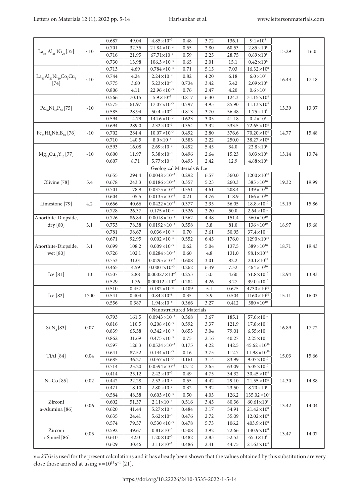|                                                         | ~10        | 0.687     | 49.04 | $4.85 \times 10^{-3}$      | 0.48     | 3.72    | 136.1 | $9.1 \times 10^{8}$     |       |       |
|---------------------------------------------------------|------------|-----------|-------|----------------------------|----------|---------|-------|-------------------------|-------|-------|
| La <sub>55</sub> Al <sub>25</sub> Ni <sub>20</sub> [35] |            | 0.701     | 32.35 | $21.84\times10^{-3}$       | 0.55     | 2.80    | 60.53 | $2.85\times10^8$        | 15.29 | 16.0  |
|                                                         |            | 0.716     | 21.95 | $67.71\times10^{-3}$       | 0.59     | 2.25    | 28.75 | $0.89\!\times\!10^8$    |       |       |
|                                                         |            | 0.730     | 13.98 | $106.3 \times 10^{-3}$     | 0.65     | 2.01    | 15.1  | $0.42\times10^8$        |       |       |
|                                                         |            | 0.713     | 4.69  | $0.784\times10^{-3}$       | 0.71     | 5.15    | 7.03  | $16.32 \times 10^8$     |       |       |
| $La_{60}Al_{20}Ni_{10}Co_5Cu_5$                         | $\sim\!10$ | 0.744     | 4.24  | $2.24 \times 10^{-3}$      | 0.82     | 4.20    | 6.18  | $6.0\times10^8$         | 16.43 | 17.18 |
| $[74]$                                                  |            | 0.775     | 3.60  | $5.23 \times 10^{-3}$      | 0.734    | 3.42    | 5.42  | $2.09 \times 10^8$      |       |       |
|                                                         |            | 0.806     | 4.11  | $22.96 \times 10^{-3}$     | 0.76     | 2.47    | 4.20  | $0.6\times10^8$         |       |       |
|                                                         |            | 0.566     | 70.15 | $5.9 \times 10^{-3}$       | 0.817    | 6.30    | 124.3 | $31.15 \times 10^8$     |       | 13.97 |
|                                                         | $\sim\!10$ | 0.575     | 61.97 | $17.07\times10^{-3}$       | 0.797    | 4.95    | 85.90 | $11.13 \times 10^8$     | 13.39 |       |
| $Pd_{40}Ni_{40}P_{20}$ [75]                             |            | 0.585     | 28.94 | $50.4 \times 10^{-3}$      | 0.813    | 3.70    | 56.48 | $1.75 \times 10^{8}$    |       |       |
|                                                         |            | 0.594     | 14.79 | $144.6 \times 10^{-3}$     | 0.623    | 3.05    | 41.18 | $0.2\times10^8$         |       |       |
|                                                         |            | 0.694     | 289.0 | $2.32 \times 10^{-3}$      | 0.354    | 3.32    | 533.5 | $72.65 \times 10^8$     |       |       |
| $Fe_{72}Hf_8Nb_2B_{18}$ [76]                            | ~10        | 0.702     | 284.4 | $10.07\times10^{-3}$       | 0.492    | 2.80    | 376.6 | $70.20\times10^8$       | 14.77 | 15.48 |
|                                                         |            | 0.710     | 140.5 | $8.0\times10^{-3}$         | 0.583    | 2.22    | 250.0 | $38.27 \times 10^{8}$   |       |       |
|                                                         |            | 0.593     | 16.08 | $2.69 \times 10^{-3}$      | 0.492    | 5.45    | 34.0  | $22.8 \times 10^8$      |       |       |
| $Mg_{65}Cu_{25}Y_{10} [77]$                             | $\sim\!10$ | 0.600     | 11.97 | $5.38 \times 10^{-3}$      | 0.496    | 2.64    | 15.23 | $8.03\times10^8$        | 13.14 | 13.74 |
|                                                         |            | 0.607     | 8.71  | $5.77 \times 10^{-3}$      | 0.493    | 2.42    | 12.9  | $4.88\!\times\!10^8$    |       |       |
|                                                         |            |           |       | Geological Materials & Ice |          |         |       |                         |       |       |
|                                                         |            | 0.655     | 294.4 | $0.0048\times10^{-3}$      | 0.292    | 6.57    | 360.0 | $1200\times10^{10}$     |       |       |
| Olivine [78]                                            | 5.4        | 0.678     | 243.3 | $0.0186\times10^{-3}$      | 0.357    | 5.23    | 260.3 | $385\!\times\!10^{10}$  | 19.32 | 19.99 |
|                                                         |            | 0.701     | 178.9 | $0.0375\times10^{-3}$      | 0.551    | 4.61    | 208.4 | $139\times10^{10}$      |       |       |
|                                                         |            | 0.604     | 105.5 | $0.0135\times10^{-3}$      | 0.21     | 4.76    | 118.9 | $166\times\!10^{10}$    |       |       |
|                                                         | 4.2        |           |       | $0.0422\times10^{-3}$      | 0.377    |         |       | $18.8\times\!10^{10}$   | 15.19 | 15.86 |
| Limestone [79]                                          |            | 0.666     | 40.66 |                            |          | 2.35    | 56.05 |                         |       |       |
|                                                         |            | 0.728     | 26.37 | $0.175 \times 10^{-3}$     | 0.526    | 2.20    | 50.0  | $2.64\times\!10^{10}$   |       |       |
| Anorthite-Diopside,                                     |            | 0.726     | 86.84 | $0.0018\times10^{-3}$      | 0.562    | 4.48    | 151.4 | $560\times10^{10}$      |       |       |
| dry [80]                                                | 3.1        | 0.753     | 78.38 | $0.0192\times10^{-3}$      | 0.558    | 3.8     | 81.0  | $136\times10^{10}$      | 18.97 | 19.68 |
|                                                         |            | 0.781     | 38.67 | $0.036 \times 10^{-3}$     | 0.70     | 3.61    | 50.95 | $37.4 \times 10^{10}$   |       |       |
|                                                         | $3.1\,$    | 0.671     | 92.95 | $0.002\times10^{-3}$       | 0.552    | 6.45    | 176.0 | $1290\times10^{10}$     | 18.71 | 19.43 |
| Anorthite-Diopside,                                     |            | 0.699     | 108.2 | $0.009\times10^{-3}$       | 0.62     | 5.04    | 137.5 | $389\times10^{10}$      |       |       |
| wet [80]                                                |            | 0.726     | 102.1 | $0.0284\times10^{-3}$      | 0.60     | 4.8     | 131.0 | $98.1{\times}10^{10}$   |       |       |
|                                                         |            | 0.753     | 31.01 | $0.0295\times10^{-3}$      | 0.608    | 3.01    | 82.2  | $20.1 \times 10^{10}$   |       |       |
|                                                         | 10         | 0.465     | 4.59  | $0.0001\times10^{-3}$      | 0.262    | 6.49    | 7.32  | $464\!\times\!10^{10}$  | 12.94 | 13.83 |
| Ice [81]                                                |            | 0.507     | 2.88  | $0.00027\times10^{-3}$     | 0.253    | $5.0\,$ | 4.60  | $51.8\!\times\!10^{10}$ |       |       |
|                                                         |            | 0.529     | 1.76  | $0.00012\times10^{-3}$     | 0.284    | 4.26    | 3.27  | $39.0\times10^{10}$     |       |       |
|                                                         |            | $0.510\,$ | 0.457 | $0.182\times10^{-8}$       | 0.409    | 5.1     | 0.675 | $4730\!\times\!10^{10}$ | 15.11 |       |
| Ice [82]                                                | 1700       | 0.541     | 0.404 | $0.84\times10^{-8}$        | 0.35     | 3.9     | 0.504 | $1160\times10^{10}$     |       | 16.03 |
|                                                         |            | 0.556     | 0.387 | $1.94 \times 10^{-8}$      | 0.366    | 3.27    | 0.412 | $580\times10^{10}$      |       |       |
|                                                         |            |           |       | Nanostructured Materials   |          |         |       |                         |       |       |
|                                                         |            | 0.793     | 161.5 | $0.0943\times10^{-3}$      | 0.568    | 3.67    | 185.1 | $57.6 \times 10^{10}$   |       |       |
| $Si_3N_4[83]$                                           | $0.07\,$   | 0.816     | 110.5 | $0.208\times10^{-3}$       | 0.592    | 3.37    | 121.9 | $17.8\!\times\!10^{10}$ | 16.89 | 17.72 |
|                                                         |            | 0.839     | 65.58 | $0.342\times10^{-3}$       | 0.653    | 3.04    | 79.01 | $6.55\!\times\!10^{10}$ |       |       |
|                                                         |            | 0.862     | 31.69 | $0.475 \times 10^{-3}$     | 0.75     | 2.16    | 40.27 | $2.25 \times 10^{10}$   |       |       |
|                                                         |            | 0.597     | 126.3 | $0.0524\times10^{-3}$      | 0.175    | 4.22    | 142.5 | $45.62 \times 10^{10}$  |       |       |
|                                                         |            | 0.641     | 87.52 | $0.134\times10^{-3}$       | $0.16\,$ | 3.75    | 112.7 | $11.98\times\!10^{10}$  |       |       |
| <b>TiAl</b> [84]                                        | $0.04\,$   | 0.685     | 36.27 | $0.057\times10^{-3}$       | 0.161    | 3.14    | 83.99 | $9.07\times10^{10}$     | 15.03 | 15.66 |
|                                                         |            | 0.714     | 23.20 | $0.0594\times10^{-3}$      | 0.212    | 2.65    | 63.09 | $5.05\times\!10^{10}$   |       |       |
|                                                         |            | $0.414\,$ | 25.12 | $2.42 \times 10^{-3}$      | 0.49     | 4.75    | 34.32 | $30.45\times10^8$       |       |       |
| Ni-Co [85]                                              | 0.02       | 0.442     | 22.28 | $2.52 \times 10^{-3}$      | 0.55     | 4.42    | 29.10 | $21.55 \times 10^{8}$   | 14.30 | 14.88 |
|                                                         |            | 0.471     | 18.10 | $2.80\times10^{-3}$        | 0.32     | 3.92    | 23.50 | $8.70\times10^8$        |       |       |
|                                                         |            | 0.584     | 48.58 | $0.603\times10^{-3}$       | 0.50     | 4.03    | 126.2 | $135.02\times10^{8}$    |       |       |
| Zirconi                                                 |            | 0.602     | 51.37 | $2.11 \times 10^{-3}$      | 0.516    | 3.45    | 80.36 | $60.61\times10^{8}$     |       |       |
| a-Alumina <sup>[86]</sup>                               | 0.06       | 0.620     | 41.44 | $5.27 \times 10^{-3}$      | 0.484    | 3.17    | 54.91 | $21.42 \times 10^8$     | 13.42 | 14.04 |
|                                                         |            | 0.635     | 24.41 | $5.62 \times 10^{-3}$      | 0.476    | 2.72    | 35.09 | $12.02 \times 10^8$     |       |       |
|                                                         |            | 0.574     | 79.57 | $0.530\times10^{-3}$       | 0.478    | 5.73    | 106.2 | $403.9\times10^{8}$     |       |       |
| Zirconi                                                 |            | 0.592     | 49.67 | $0.81{\times}10^{-3}$      | 0.508    | 3.92    | 72.66 | $140.9 \times 10^{8}$   |       |       |
| a-Spinel [86]                                           | 0.05       | 0.610     | 42.0  | $1.20 \times 10^{-3}$      | 0.482    | 2.83    | 52.53 | $65.3 \times 10^8$      | 13.47 | 14.07 |
|                                                         |            | 0.629     | 30.46 | $3.11\times10^{-3}$        | 0.486    | 2.41    | 44.75 | $21.63 \times 10^{8}$   |       |       |
|                                                         |            |           |       |                            |          |         |       |                         |       |       |

ν=*kT*/*h* is used for the present calculations and it has already been shown that the values obtained by this substitution are very close those arrived at using  $v=10^{13} s^{-1}$  [21].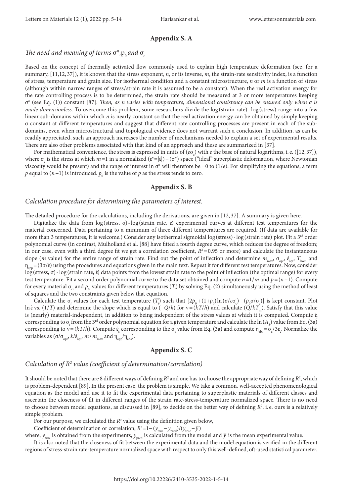#### **Appendix S. A**

## *The need and meaning of terms*  $\sigma^*$ ,  $p_0$  *and*  $\sigma_c$

Based on the concept of thermally activated flow commonly used to explain high temperature deformation (see, for a summary, [11,12, 37]), it is known that the stress exponent, *n*, or its inverse, *m*, the strain-rate sensitivity index, is a function of stress, temperature and grain size. For isothermal condition and a constant microstructure, *n* or *m* is a function of stress (although within narrow ranges of stress/strain rate it is assumed to be a constant). When the real activation energy for the rate controlling process is to be determined, the strain rate should be measured at 3 or more temperatures keeping σ*n* (see Eq. (1)) constant [87]. *Then, as n varies with temperature, dimensional consistency can be ensured only when σ is made dimensionless*. To overcome this problem, some researchers divide the log (strain rate) - log (stress) range into a few linear sub-domains within which *n* is nearly constant so that the real activation energy can be obtained by simply keeping σ constant at different temperatures and suggest that different rate controlling processes are present in each of the subdomains, even when microstructural and topological evidence does not warrant such a conclusion. In addition, as can be readily appreciated, such an approach increases the number of mechanisms needed to explain a set of experimental results. There are also other problems associated with that kind of an approach and these are summarized in [37].

For mathematical convenience, the stress is expressed in units of (*e*σ<sub>c</sub>) with *e* the base of natural logarithms, i.e. ([12, 37]), where σ<sub>c</sub> is the stress at which *m* = 1 in a normalized (ε<sup>\*</sup>=|ε|)−(σ<sup>\*</sup>) space ("ideal" superplastic deformation, where Newtonian viscosity would be present) and the range of interest in  $\sigma^*$  will therefore be  $\approx 0$  to (1/*e*). For simplifying the equations, a term *p* equal to (*n*−1) is introduced.  $p_{0}$  is the value of *p* as the stress tends to zero.

### **Appendix S. B**

#### *Calculation procedure for determining the parameters of interest.*

The detailed procedure for the calculations, including the derivations, are given in [12, 37]. A summary is given here.

Digitalize the data from log (stress, σ)-log (strain rate, ε) experimental curves at different test temperatures for the material concerned. Data pertaining to a minimum of three different temperatures are required. (If data are available for more than 3 temperatures, it is welcome.) Consider any isothermal sigmoidal log (stress) - log (strain rate) plot. Fit a 3<sup>rd</sup> order polynomial curve (in contrast, Mulholland et al. [88] have fitted a fourth degree curve, which reduces the degree of freedom; in our case, even with a third degree fit we get a correlation coefficient,  $R^2 = 0.95$  or more) and calculate the instantaneous slope (*m* value) for the entire range of strain rate. Find out the point of inflection and determine  $m_{\text{max}}$ ,  $\sigma_{\text{opt}}$ ,  $\dot{\epsilon}_{\text{opt}}$ ,  $T_{\text{hom}}$  and  $\eta_{app} = (3\sigma/\dot{\epsilon})$  using the procedures and equations given in the main text. Repeat it for different test temperatures. Now, consider log (stress, σ) - log (strain rate, ε) data points from the lowest strain rate to the point of inflection (the optimal range) for every test temperature. Fit a second order polynomial curve to the data set obtained and compute *n*=1/*m* and *p*=(*n*−1). Compute for every material  $\sigma_{_{\rm ci}}$  and  $p_{_{\rm 0i}}$  values for different temperatures  $(T_{i})$  by solving Eq. (2) simultaneously using the method of least of squares and the two constraints given below that equation.

Calculate the  $\sigma_i$  values for each test temperature  $(T_i)$  such that  $[2p_0+(1+p_0)\ln(\sigma/e\sigma_c)-(p_0\sigma/\sigma_c)]$  is kept constant. Plot ln  $\epsilon$  vs. (1/*T*) and determine the slope which is equal to (−*Q*/*k*) for  $v = (kT/h)$  and calculate (*Q*/*kT*<sub>m</sub>). Satisfy that this value *is* (nearly) material-independent, in addition to being independent of the stress values at which it is computed. Compute  $\epsilon_i$ corresponding to  $\sigma_i$  from the 3<sup>rd</sup> order polynomial equation for a given temperature and calculate the ln $(A_3)$  value from Eq. (3a) corresponding to  $v = (kT/h)$ . Compute  $\dot{\epsilon}_e$  corresponding to the  $\sigma_e$  value from Eq. (3a) and compute  $\eta_{abs} = \sigma_e/3\dot{\epsilon}_e$ . Normalize the variables as  $\left(\frac{\delta}{\sigma_{opt}}, \varepsilon/\varepsilon_{opt}, m/m_{max} \right)$  and  $\eta_{app}^{\circ}/\eta_{abs}$ ).

### **Appendix S. C**

## *Calculation of R2 value (coefficient of determination/correlation)*

It should be noted that there are 8 different ways of defining  $R^2$  and one has to choose the appropriate way of defining  $R^2$ , which is problem-dependent [89]. In the present case, the problem is simple. We take a common, well-accepted phenomenological equation as the model and use it to fit the experimental data pertaining to superplastic materials of different classes and ascertain the closeness of fit in different ranges of the strain rate-stress-temperature normalized space. There is no need to choose between model equations, as discussed in [89], to decide on the better way of defining  $R^2$ , i.e. ours is a relatively simple problem.

For our purpose, we calculated the  $R^2$  value using the definition given below,

Coefficient of determination or correlation,  $R^2=1-(y_{\text{true}}-y_{\text{pred}})/(y_{\text{true}}-y)$ 

where,  $y_{true}$  is obtained from the experiments,  $y_{pred}$  is calculated from the model and  $\bar{y}$  is the mean experimental value.

It is also noted that the closeness of fit between the experimental data and the model equation is verified in the different regions of stress-strain rate-temperature normalized space with respect to only this well-defined, oft-used statistical parameter.